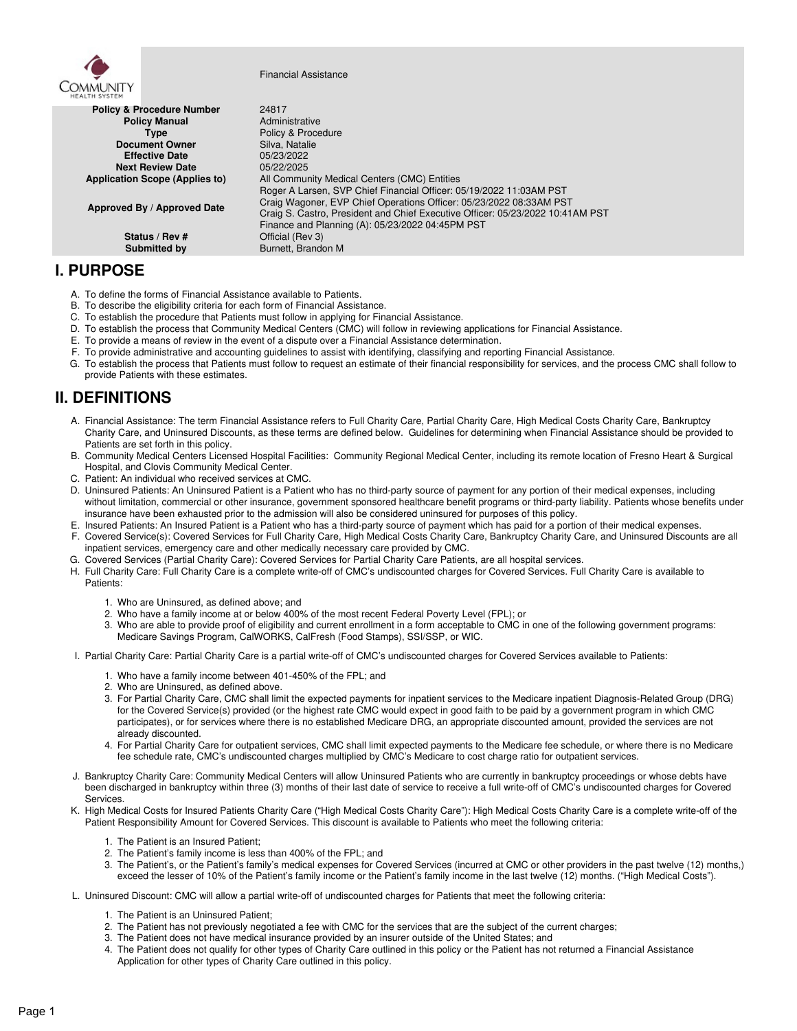

Financial Assistance

| <b>MEALIN STSIEM</b>                  |                                                                                |
|---------------------------------------|--------------------------------------------------------------------------------|
| <b>Policy &amp; Procedure Number</b>  | 24817                                                                          |
| <b>Policy Manual</b>                  | Administrative                                                                 |
| Type                                  | Policy & Procedure                                                             |
| <b>Document Owner</b>                 | Silva, Natalie                                                                 |
| <b>Effective Date</b>                 | 05/23/2022                                                                     |
| <b>Next Review Date</b>               | 05/22/2025                                                                     |
| <b>Application Scope (Applies to)</b> | All Community Medical Centers (CMC) Entities                                   |
|                                       | Roger A Larsen, SVP Chief Financial Officer: 05/19/2022 11:03AM PST            |
| Approved By / Approved Date           | Craig Wagoner, EVP Chief Operations Officer: 05/23/2022 08:33AM PST            |
|                                       | Craig S. Castro, President and Chief Executive Officer: 05/23/2022 10:41AM PST |
|                                       | Finance and Planning (A): 05/23/2022 04:45PM PST                               |
| Status / Rev #                        | Official (Rev 3)                                                               |
| Submitted by                          | Burnett, Brandon M                                                             |

## **I. PURPOSE**

- A. To define the forms of Financial Assistance available to Patients.
- B. To describe the eligibility criteria for each form of Financial Assistance.
- C. To establish the procedure that Patients must follow in applying for Financial Assistance.<br>D. To establish the process that Community Medical Centers (CMC) will follow in reviewing
- D. To establish the process that Community Medical Centers (CMC) will follow in reviewing applications for Financial Assistance.
- E. To provide a means of review in the event of a dispute over a Financial Assistance determination.
- F. To provide administrative and accounting guidelines to assist with identifying, classifying and reporting Financial Assistance.
- G. To establish the process that Patients must follow to request an estimate of their financial responsibility for services, and the process CMC shall follow to provide Patients with these estimates.

# **II. DEFINITIONS**

- A. Financial Assistance: The term Financial Assistance refers to Full Charity Care, Partial Charity Care, High Medical Costs Charity Care, Bankruptcy Charity Care, and Uninsured Discounts, as these terms are defined below. Guidelines for determining when Financial Assistance should be provided to Patients are set forth in this policy.
- B. Community Medical Centers Licensed Hospital Facilities: Community Regional Medical Center, including its remote location of Fresno Heart & Surgical Hospital, and Clovis Community Medical Center.
- C. Patient: An individual who received services at CMC.
- D. Uninsured Patients: An Uninsured Patient is a Patient who has no third-party source of payment for any portion of their medical expenses, including without limitation, commercial or other insurance, government sponsored healthcare benefit programs or third-party liability. Patients whose benefits under insurance have been exhausted prior to the admission will also be considered uninsured for purposes of this policy.
- E. Insured Patients: An Insured Patient is a Patient who has a third-party source of payment which has paid for a portion of their medical expenses.
- F. Covered Service(s): Covered Services for Full Charity Care, High Medical Costs Charity Care, Bankruptcy Charity Care, and Uninsured Discounts are all inpatient services, emergency care and other medically necessary care provided by CMC.
- G. Covered Services (Partial Charity Care): Covered Services for Partial Charity Care Patients, are all hospital services.
- H. Full Charity Care: Full Charity Care is a complete write-off of CMC's undiscounted charges for Covered Services. Full Charity Care is available to Patients:
	- 1. Who are Uninsured, as defined above; and
	- 2. Who have a family income at or below 400% of the most recent Federal Poverty Level (FPL); or
	- 3. Who are able to provide proof of eligibility and current enrollment in a form acceptable to CMC in one of the following government programs: Medicare Savings Program, CalWORKS, CalFresh (Food Stamps), SSI/SSP, or WIC.
- I. Partial Charity Care: Partial Charity Care is a partial write-off of CMC's undiscounted charges for Covered Services available to Patients:
	- 1. Who have a family income between 401-450% of the FPL; and
	- 2. Who are Uninsured, as defined above.
	- 3. For Partial Charity Care, CMC shall limit the expected payments for inpatient services to the Medicare inpatient Diagnosis-Related Group (DRG) for the Covered Service(s) provided (or the highest rate CMC would expect in good faith to be paid by a government program in which CMC participates), or for services where there is no established Medicare DRG, an appropriate discounted amount, provided the services are not already discounted.
	- 4. For Partial Charity Care for outpatient services, CMC shall limit expected payments to the Medicare fee schedule, or where there is no Medicare fee schedule rate, CMC's undiscounted charges multiplied by CMC's Medicare to cost charge ratio for outpatient services.
- J. Bankruptcy Charity Care: Community Medical Centers will allow Uninsured Patients who are currently in bankruptcy proceedings or whose debts have been discharged in bankruptcy within three (3) months of their last date of service to receive a full write-off of CMC's undiscounted charges for Covered Services.
- K. High Medical Costs for Insured Patients Charity Care ("High Medical Costs Charity Care"): High Medical Costs Charity Care is a complete write-off of the Patient Responsibility Amount for Covered Services. This discount is available to Patients who meet the following criteria:
	- 1. The Patient is an Insured Patient;
	- 2. The Patient's family income is less than 400% of the FPL; and
	- 3. The Patient's, or the Patient's family's medical expenses for Covered Services (incurred at CMC or other providers in the past twelve (12) months,) exceed the lesser of 10% of the Patient's family income or the Patient's family income in the last twelve (12) months. ("High Medical Costs").
- L. Uninsured Discount: CMC will allow a partial write-off of undiscounted charges for Patients that meet the following criteria:
	- 1. The Patient is an Uninsured Patient;
	- 2. The Patient has not previously negotiated a fee with CMC for the services that are the subject of the current charges;
	- 3. The Patient does not have medical insurance provided by an insurer outside of the United States; and
	- 4. The Patient does not qualify for other types of Charity Care outlined in this policy or the Patient has not returned a Financial Assistance Application for other types of Charity Care outlined in this policy.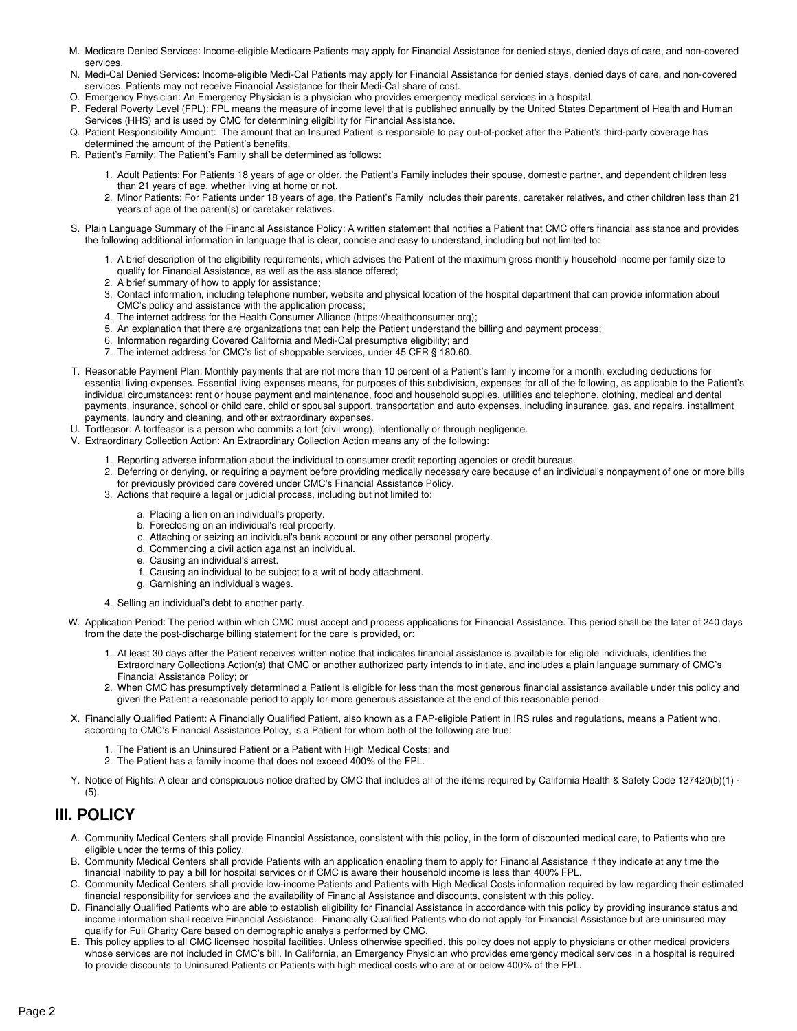- M. Medicare Denied Services: Income-eligible Medicare Patients may apply for Financial Assistance for denied stays, denied days of care, and non-covered services.
- N. Medi-Cal Denied Services: Income-eligible Medi-Cal Patients may apply for Financial Assistance for denied stays, denied days of care, and non-covered services. Patients may not receive Financial Assistance for their Medi-Cal share of cost.
- O. Emergency Physician: An Emergency Physician is a physician who provides emergency medical services in a hospital.
- P. Federal Poverty Level (FPL): FPL means the measure of income level that is published annually by the United States Department of Health and Human Services (HHS) and is used by CMC for determining eligibility for Financial Assistance.
- Q. Patient Responsibility Amount: The amount that an Insured Patient is responsible to pay out-of-pocket after the Patient's third-party coverage has determined the amount of the Patient's benefits.
- R. Patient's Family: The Patient's Family shall be determined as follows:
	- 1. Adult Patients: For Patients 18 years of age or older, the Patient's Family includes their spouse, domestic partner, and dependent children less than 21 years of age, whether living at home or not.
	- 2. Minor Patients: For Patients under 18 years of age, the Patient's Family includes their parents, caretaker relatives, and other children less than 21 years of age of the parent(s) or caretaker relatives.
- S. Plain Language Summary of the Financial Assistance Policy: A written statement that notifies a Patient that CMC offers financial assistance and provides the following additional information in language that is clear, concise and easy to understand, including but not limited to:
	- 1. A brief description of the eligibility requirements, which advises the Patient of the maximum gross monthly household income per family size to qualify for Financial Assistance, as well as the assistance offered;
	- 2. A brief summary of how to apply for assistance;
	- 3. Contact information, including telephone number, website and physical location of the hospital department that can provide information about CMC's policy and assistance with the application process;
	- 4. The internet address for the Health Consumer Alliance (https://healthconsumer.org);
	- 5. An explanation that there are organizations that can help the Patient understand the billing and payment process;
	- 6. Information regarding Covered California and Medi-Cal presumptive eligibility; and
	- 7. The internet address for CMC's list of shoppable services, under 45 CFR § 180.60.
- T. Reasonable Payment Plan: Monthly payments that are not more than 10 percent of a Patient's family income for a month, excluding deductions for essential living expenses. Essential living expenses means, for purposes of this subdivision, expenses for all of the following, as applicable to the Patient's individual circumstances: rent or house payment and maintenance, food and household supplies, utilities and telephone, clothing, medical and dental payments, insurance, school or child care, child or spousal support, transportation and auto expenses, including insurance, gas, and repairs, installment payments, laundry and cleaning, and other extraordinary expenses.
- U. Tortfeasor: A tortfeasor is a person who commits a tort (civil wrong), intentionally or through negligence.
- V. Extraordinary Collection Action: An Extraordinary Collection Action means any of the following:
	- 1. Reporting adverse information about the individual to consumer credit reporting agencies or credit bureaus.
	- 2. Deferring or denying, or requiring a payment before providing medically necessary care because of an individual's nonpayment of one or more bills for previously provided care covered under CMC's Financial Assistance Policy.
	- 3. Actions that require a legal or judicial process, including but not limited to:
		- a. Placing a lien on an individual's property.
		- b. Foreclosing on an individual's real property.
		- c. Attaching or seizing an individual's bank account or any other personal property.
		- d. Commencing a civil action against an individual.
		- e. Causing an individual's arrest.
		- f. Causing an individual to be subject to a writ of body attachment.
		- g. Garnishing an individual's wages.
	- 4. Selling an individual's debt to another party.
- W. Application Period: The period within which CMC must accept and process applications for Financial Assistance. This period shall be the later of 240 days from the date the post-discharge billing statement for the care is provided, or:
	- 1. At least 30 days after the Patient receives written notice that indicates financial assistance is available for eligible individuals, identifies the Extraordinary Collections Action(s) that CMC or another authorized party intends to initiate, and includes a plain language summary of CMC's Financial Assistance Policy; or
	- 2. When CMC has presumptively determined a Patient is eligible for less than the most generous financial assistance available under this policy and given the Patient a reasonable period to apply for more generous assistance at the end of this reasonable period.
- X. Financially Qualified Patient: A Financially Qualified Patient, also known as a FAP-eligible Patient in IRS rules and regulations, means a Patient who, according to CMC's Financial Assistance Policy, is a Patient for whom both of the following are true:
	- 1. The Patient is an Uninsured Patient or a Patient with High Medical Costs; and
	- 2. The Patient has a family income that does not exceed 400% of the FPL.
- Y. Notice of Rights: A clear and conspicuous notice drafted by CMC that includes all of the items required by California Health & Safety Code 127420(b)(1) -(5).

## **III. POLICY**

- A. Community Medical Centers shall provide Financial Assistance, consistent with this policy, in the form of discounted medical care, to Patients who are eligible under the terms of this policy.
- B. Community Medical Centers shall provide Patients with an application enabling them to apply for Financial Assistance if they indicate at any time the financial inability to pay a bill for hospital services or if CMC is aware their household income is less than 400% FPL.
- C. Community Medical Centers shall provide low-income Patients and Patients with High Medical Costs information required by law regarding their estimated financial responsibility for services and the availability of Financial Assistance and discounts, consistent with this policy.
- D. Financially Qualified Patients who are able to establish eligibility for Financial Assistance in accordance with this policy by providing insurance status and income information shall receive Financial Assistance. Financially Qualified Patients who do not apply for Financial Assistance but are uninsured may qualify for Full Charity Care based on demographic analysis performed by CMC.
- E. This policy applies to all CMC licensed hospital facilities. Unless otherwise specified, this policy does not apply to physicians or other medical providers whose services are not included in CMC's bill. In California, an Emergency Physician who provides emergency medical services in a hospital is required to provide discounts to Uninsured Patients or Patients with high medical costs who are at or below 400% of the FPL.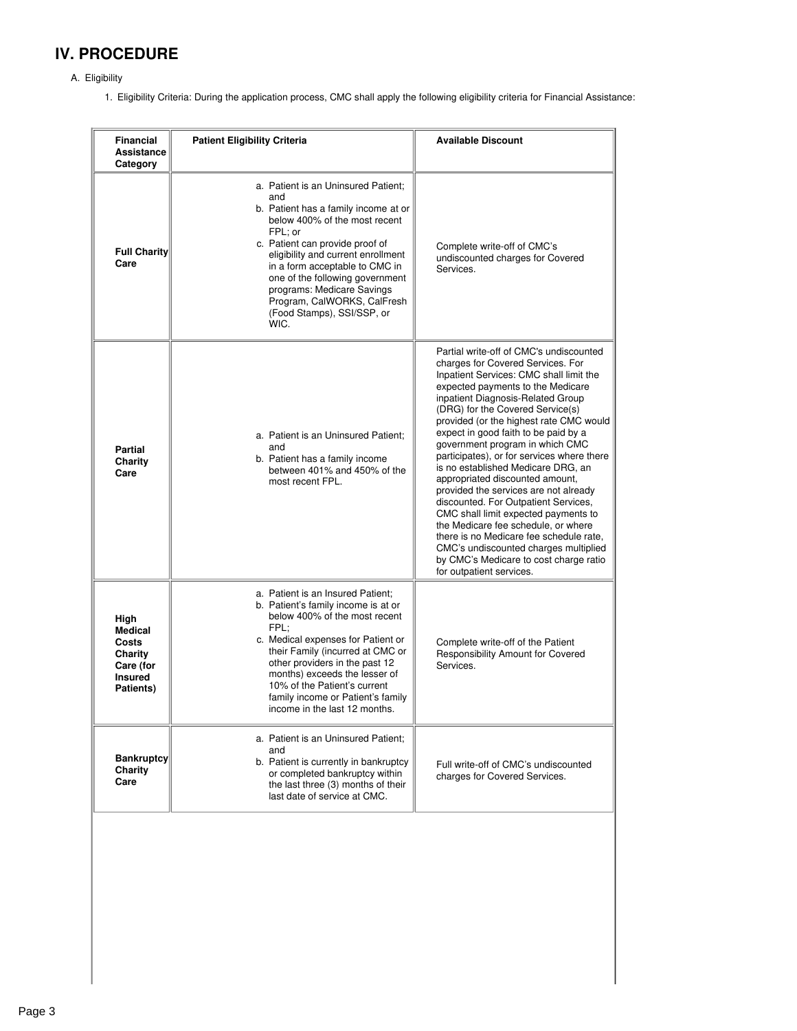# **IV. PROCEDURE**

- A. Eligibility
	- 1. Eligibility Criteria: During the application process, CMC shall apply the following eligibility criteria for Financial Assistance:

| <b>Financial</b><br>Assistance<br>Category                                             | <b>Patient Eligibility Criteria</b>                                                                                                                                                                                                                                                                                                                                             | <b>Available Discount</b>                                                                                                                                                                                                                                                                                                                                                                                                                                                                                                                                                                                                                                                                                                                                                                                    |
|----------------------------------------------------------------------------------------|---------------------------------------------------------------------------------------------------------------------------------------------------------------------------------------------------------------------------------------------------------------------------------------------------------------------------------------------------------------------------------|--------------------------------------------------------------------------------------------------------------------------------------------------------------------------------------------------------------------------------------------------------------------------------------------------------------------------------------------------------------------------------------------------------------------------------------------------------------------------------------------------------------------------------------------------------------------------------------------------------------------------------------------------------------------------------------------------------------------------------------------------------------------------------------------------------------|
| <b>Full Charity</b><br>Care                                                            | a. Patient is an Uninsured Patient:<br>and<br>b. Patient has a family income at or<br>below 400% of the most recent<br>FPL; or<br>c. Patient can provide proof of<br>eligibility and current enrollment<br>in a form acceptable to CMC in<br>one of the following government<br>programs: Medicare Savings<br>Program, CalWORKS, CalFresh<br>(Food Stamps), SSI/SSP, or<br>WIC. | Complete write-off of CMC's<br>undiscounted charges for Covered<br>Services.                                                                                                                                                                                                                                                                                                                                                                                                                                                                                                                                                                                                                                                                                                                                 |
| <b>Partial</b><br>Charity<br>Care                                                      | a. Patient is an Uninsured Patient;<br>and<br>b. Patient has a family income<br>between 401% and 450% of the<br>most recent FPL.                                                                                                                                                                                                                                                | Partial write-off of CMC's undiscounted<br>charges for Covered Services. For<br>Inpatient Services: CMC shall limit the<br>expected payments to the Medicare<br>inpatient Diagnosis-Related Group<br>(DRG) for the Covered Service(s)<br>provided (or the highest rate CMC would<br>expect in good faith to be paid by a<br>government program in which CMC<br>participates), or for services where there<br>is no established Medicare DRG, an<br>appropriated discounted amount,<br>provided the services are not already<br>discounted. For Outpatient Services,<br>CMC shall limit expected payments to<br>the Medicare fee schedule, or where<br>there is no Medicare fee schedule rate.<br>CMC's undiscounted charges multiplied<br>by CMC's Medicare to cost charge ratio<br>for outpatient services. |
| High<br><b>Medical</b><br>Costs<br>Charity<br>Care (for<br><b>Insured</b><br>Patients) | a. Patient is an Insured Patient:<br>b. Patient's family income is at or<br>below 400% of the most recent<br>FPL:<br>c. Medical expenses for Patient or<br>their Family (incurred at CMC or<br>other providers in the past 12<br>months) exceeds the lesser of<br>10% of the Patient's current<br>family income or Patient's family<br>income in the last 12 months.            | Complete write-off of the Patient<br>Responsibility Amount for Covered<br>Services.                                                                                                                                                                                                                                                                                                                                                                                                                                                                                                                                                                                                                                                                                                                          |
| <b>Bankruptcy</b><br>Charity<br>Care                                                   | a. Patient is an Uninsured Patient;<br>and<br>b. Patient is currently in bankruptcy<br>or completed bankruptcy within<br>the last three (3) months of their<br>last date of service at CMC.                                                                                                                                                                                     | Full write-off of CMC's undiscounted<br>charges for Covered Services.                                                                                                                                                                                                                                                                                                                                                                                                                                                                                                                                                                                                                                                                                                                                        |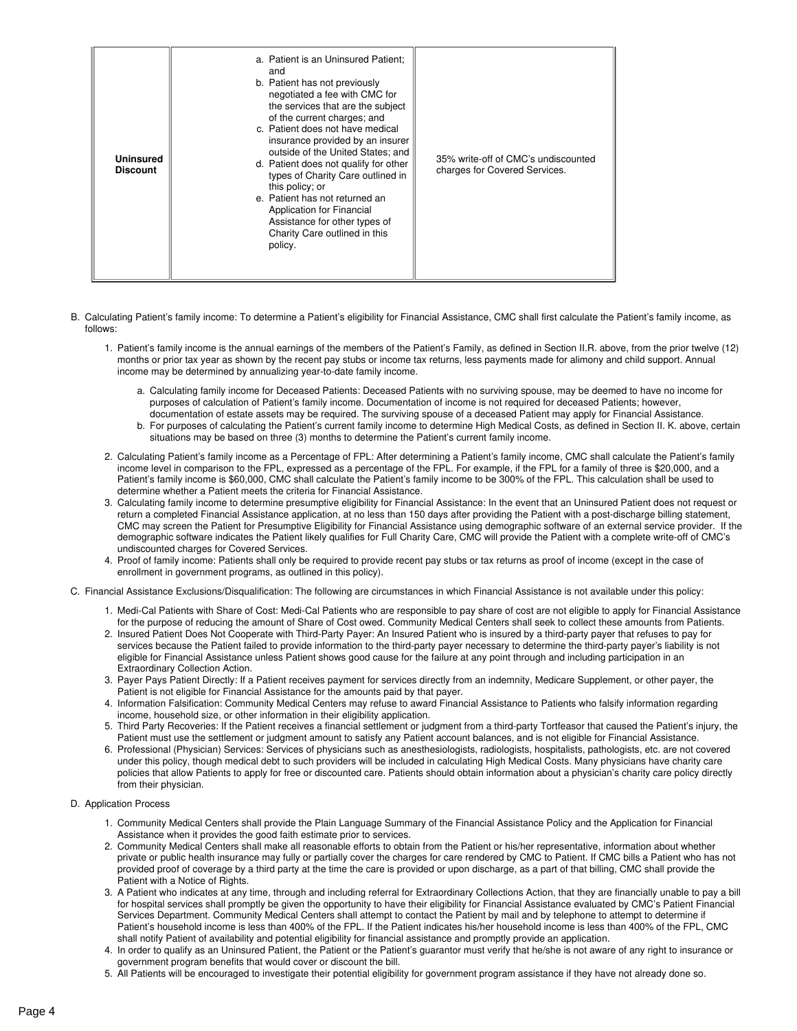- B. Calculating Patient's family income: To determine a Patient's eligibility for Financial Assistance, CMC shall first calculate the Patient's family income, as follows:
	- 1. Patient's family income is the annual earnings of the members of the Patient's Family, as defined in Section II.R. above, from the prior twelve (12) months or prior tax year as shown by the recent pay stubs or income tax returns, less payments made for alimony and child support. Annual income may be determined by annualizing year-to-date family income.
		- a. Calculating family income for Deceased Patients: Deceased Patients with no surviving spouse, may be deemed to have no income for purposes of calculation of Patient's family income. Documentation of income is not required for deceased Patients; however, documentation of estate assets may be required. The surviving spouse of a deceased Patient may apply for Financial Assistance.
		- b. For purposes of calculating the Patient's current family income to determine High Medical Costs, as defined in Section II. K. above, certain situations may be based on three (3) months to determine the Patient's current family income.
	- 2. Calculating Patient's family income as a Percentage of FPL: After determining a Patient's family income, CMC shall calculate the Patient's family income level in comparison to the FPL, expressed as a percentage of the FPL. For example, if the FPL for a family of three is \$20,000, and a Patient's family income is \$60,000, CMC shall calculate the Patient's family income to be 300% of the FPL. This calculation shall be used to determine whether a Patient meets the criteria for Financial Assistance.
	- 3. Calculating family income to determine presumptive eligibility for Financial Assistance: In the event that an Uninsured Patient does not request or return a completed Financial Assistance application, at no less than 150 days after providing the Patient with a post-discharge billing statement, CMC may screen the Patient for Presumptive Eligibility for Financial Assistance using demographic software of an external service provider. If the demographic software indicates the Patient likely qualifies for Full Charity Care, CMC will provide the Patient with a complete write-off of CMC's undiscounted charges for Covered Services.
	- 4. Proof of family income: Patients shall only be required to provide recent pay stubs or tax returns as proof of income (except in the case of enrollment in government programs, as outlined in this policy).
- C. Financial Assistance Exclusions/Disqualification: The following are circumstances in which Financial Assistance is not available under this policy:
	- 1. Medi-Cal Patients with Share of Cost: Medi-Cal Patients who are responsible to pay share of cost are not eligible to apply for Financial Assistance for the purpose of reducing the amount of Share of Cost owed. Community Medical Centers shall seek to collect these amounts from Patients.
	- 2. Insured Patient Does Not Cooperate with Third-Party Payer: An Insured Patient who is insured by a third-party payer that refuses to pay for services because the Patient failed to provide information to the third-party payer necessary to determine the third-party payer's liability is not eligible for Financial Assistance unless Patient shows good cause for the failure at any point through and including participation in an Extraordinary Collection Action.
	- 3. Payer Pays Patient Directly: If a Patient receives payment for services directly from an indemnity, Medicare Supplement, or other payer, the Patient is not eligible for Financial Assistance for the amounts paid by that payer.
	- 4. Information Falsification: Community Medical Centers may refuse to award Financial Assistance to Patients who falsify information regarding income, household size, or other information in their eligibility application.
	- 5. Third Party Recoveries: If the Patient receives a financial settlement or judgment from athird-party Tortfeasor that caused the Patient's injury, the Patient must use the settlement or judgment amount to satisfy any Patient account balances, and is not eligible for Financial Assistance.
	- 6. Professional (Physician) Services: Services of physicians such as anesthesiologists, radiologists, hospitalists, pathologists, etc. are not covered under this policy, though medical debt to such providers will be included in calculating High Medical Costs. Many physicians have charity care policies that allow Patients to apply for free or discounted care. Patients should obtain information about a physician's charity care policy directly from their physician.

### D. Application Process

- 1. Community Medical Centers shall provide the Plain Language Summary of the Financial Assistance Policy and the Application for Financial Assistance when it provides the good faith estimate prior to services.
- 2. Community Medical Centers shall make all reasonable efforts to obtain from the Patient or his/her representative, information about whether private or public health insurance may fully or partially cover the charges for care rendered by CMC to Patient. If CMC bills a Patient who has not provided proof of coverage by a third party at the time the care is provided or upon discharge, as a part of that billing, CMC shall provide the Patient with a Notice of Rights.
- 3. A Patient who indicates at any time, through and including referral for Extraordinary Collections Action, that they are financially unable to pay a bill for hospital services shall promptly be given the opportunity to have their eligibility for Financial Assistance evaluated by CMC's Patient Financial Services Department. Community Medical Centers shall attempt to contact the Patient by mail and by telephone to attempt to determine if Patient's household income is less than 400% of the FPL. If the Patient indicates his/her household income is less than 400% of the FPL, CMC shall notify Patient of availability and potential eligibility for financial assistance and promptly provide an application.
- 4. In order to qualify as an Uninsured Patient, the Patient or the Patient's guarantor must verify that he/she is not aware of any right to insurance or government program benefits that would cover or discount the bill.
- 5. All Patients will be encouraged to investigate their potential eligibility for government program assistance if they have not already done so.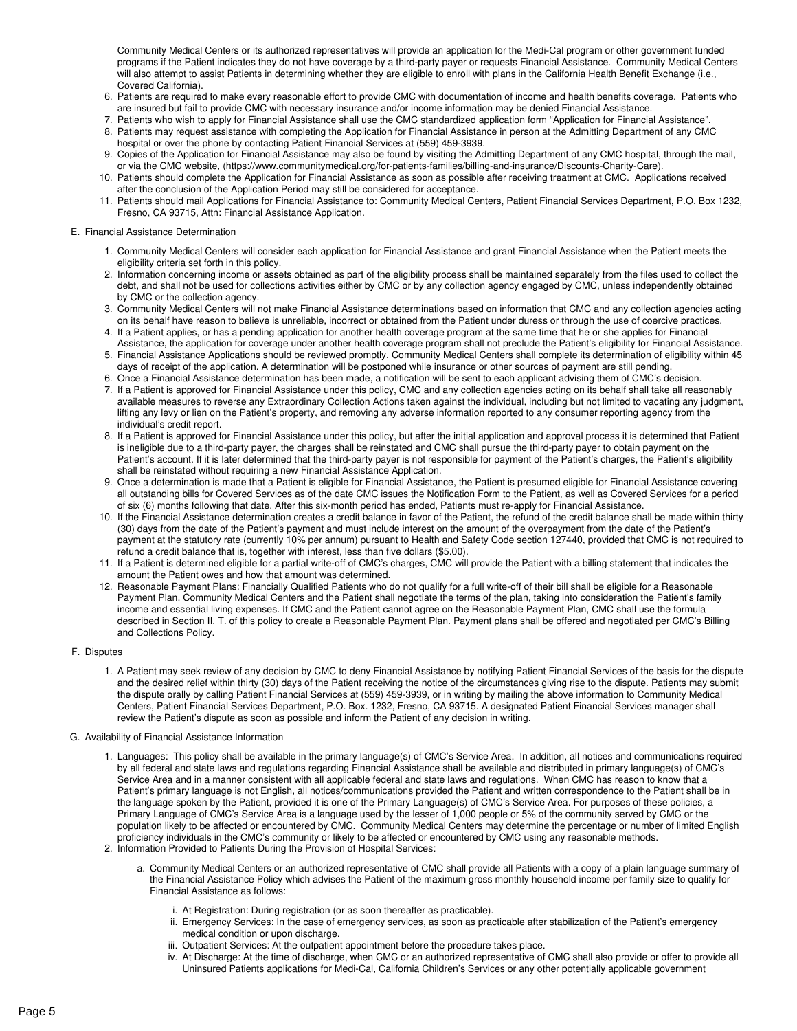Community Medical Centers or its authorized representatives will provide an application for the Medi-Cal program or other government funded programs if the Patient indicates they do not have coverage by a third-party payer or requests Financial Assistance. Community Medical Centers will also attempt to assist Patients in determining whether they are eligible to enroll with plans in the California Health Benefit Exchange (i.e., Covered California).

- 6. Patients are required to make every reasonable effort to provide CMC with documentation of income and health benefits coverage. Patients who are insured but fail to provide CMC with necessary insurance and/or income information may be denied Financial Assistance.
- 7. Patients who wish to apply for Financial Assistance shall use the CMC standardized application form "Application for Financial Assistance". 8. Patients may request assistance with completing the Application for Financial Assistance in person at the Admitting Department of any CMC hospital or over the phone by contacting Patient Financial Services at (559) 459-3939.
- 9. Copies of the Application for Financial Assistance may also be found by visiting the Admitting Department of any CMC hospital, through the mail, or via the CMC website, (https://www.communitymedical.org/for-patients-families/billing-and-insurance/Discounts-Charity-Care).
- 10. Patients should complete the Application for Financial Assistance as soon as possible after receiving treatment at CMC. Applications received after the conclusion of the Application Period may still be considered for acceptance.
- 11. Patients should mail Applications for Financial Assistance to: Community Medical Centers, Patient Financial Services Department, P.O. Box 1232, Fresno, CA 93715, Attn: Financial Assistance Application.

#### E. Financial Assistance Determination

- 1. Community Medical Centers will consider each application for Financial Assistance and grant Financial Assistance when the Patient meets the eligibility criteria set forth in this policy.
- 2. Information concerning income or assets obtained as part of the eligibility process shall be maintained separately from the files used to collect the debt, and shall not be used for collections activities either by CMC or by any collection agency engaged by CMC, unless independently obtained by CMC or the collection agency.
- 3. Community Medical Centers will not make Financial Assistance determinations based on information that CMC and any collection agencies acting on its behalf have reason to believe is unreliable, incorrect or obtained from the Patient under duress or through the use of coercive practices.
- 4. If a Patient applies, or has a pending application for another health coverage program at the same time that he or she applies for Financial Assistance, the application for coverage under another health coverage program shall not preclude the Patient's eligibility for Financial Assistance.
- 5. Financial Assistance Applications should be reviewed promptly. Community Medical Centers shall complete its determination of eligibility within 45 days of receipt of the application. A determination will be postponed while insurance or other sources of payment are still pending.
- 6. Once a Financial Assistance determination has been made, a notification will be sent to each applicant advising them of CMC's decision. 7. If a Patient is approved for Financial Assistance under this policy, CMC and any collection agencies acting on its behalf shall take all reasonably
- available measures to reverse any Extraordinary Collection Actions taken against the individual, including but not limited to vacating any judgment, lifting any levy or lien on the Patient's property, and removing any adverse information reported to any consumer reporting agency from the individual's credit report.
- 8. If a Patient is approved for Financial Assistance under this policy, but after the initial application and approval process itis determined that Patient is ineligible due to a third-party payer, the charges shall be reinstated and CMC shall pursue the third-party payer to obtain payment on the Patient's account. If it is later determined that the third-party payer is not responsible for payment of the Patient's charges, the Patient's eligibility shall be reinstated without requiring a new Financial Assistance Application.
- 9. Once a determination is made that a Patient is eligible for Financial Assistance, the Patient is presumed eligible for Financial Assistance covering all outstanding bills for Covered Services as of the date CMC issues the Notification Form to the Patient, as well as Covered Services for a period of six (6) months following that date. After this six-month period has ended, Patients must re-apply for Financial Assistance.
- 10. If the Financial Assistance determination creates a credit balance in favor of the Patient, the refund of the credit balance shall be made within thirty (30) days from the date of the Patient's payment and must include interest on the amount of the overpayment from the date of the Patient's payment at the statutory rate (currently 10% per annum) pursuant to Health and Safety Code section 127440, provided that CMC is not required to refund a credit balance that is, together with interest, less than five dollars (\$5.00).
- 11. If a Patient is determined eligible for a partial write-off of CMC's charges, CMC will provide the Patient with a billing statement that indicates the amount the Patient owes and how that amount was determined.
- 12. Reasonable Payment Plans: Financially Qualified Patients who do not qualify for a full write-off of their bill shall be eligible for a Reasonable Payment Plan. Community Medical Centers and the Patient shall negotiate the terms of the plan, taking into consideration the Patient's family income and essential living expenses. If CMC and the Patient cannot agree on the Reasonable Payment Plan, CMC shall use the formula described in Section II. T. of this policy to create a Reasonable Payment Plan. Payment plans shall be offered and negotiated per CMC's Billing and Collections Policy.

## F. Disputes

1. A Patient may seek review of any decision by CMC to deny Financial Assistance by notifying Patient Financial Services of the basis for the dispute and the desired relief within thirty (30) days of the Patient receiving the notice of the circumstances giving rise to the dispute. Patients may submit the dispute orally by calling Patient Financial Services at (559) 459-3939, or in writing by mailing the above information to Community Medical Centers, Patient Financial Services Department, P.O. Box. 1232, Fresno, CA 93715. A designated Patient Financial Services manager shall review the Patient's dispute as soon as possible and inform the Patient of any decision in writing.

## G. Availability of Financial Assistance Information

- 1. Languages: This policy shall be available in the primary language(s) of CMC's Service Area. In addition, all notices and communications required by all federal and state laws and regulations regarding Financial Assistance shall be available and distributed in primary language(s) of CMC's Service Area and in a manner consistent with all applicable federal and state laws and regulations. When CMC has reason to know that a Patient's primary language is not English, all notices/communications provided the Patient and written correspondence to the Patient shall be in the language spoken by the Patient, provided it is one of the Primary Language(s) of CMC's Service Area. For purposes of these policies, a Primary Language of CMC's Service Area is a language used by the lesser of 1,000 people or 5% of the community served by CMC or the population likely to be affected or encountered by CMC. Community Medical Centers may determine the percentage or number of limited English proficiency individuals in the CMC's community or likely to be affected or encountered by CMC using any reasonable methods.
- 2. Information Provided to Patients During the Provision of Hospital Services:
	- a. Community Medical Centers or an authorized representative of CMC shall provide all Patients with a copy of a plain language summary of the Financial Assistance Policy which advises the Patient of the maximum gross monthly household income per family size to qualify for Financial Assistance as follows:
		- i. At Registration: During registration (or as soon thereafter as practicable).
		- ii. Emergency Services: In the case of emergency services, as soon as practicable after stabilization of the Patient's emergency medical condition or upon discharge.
		- iii. Outpatient Services: At the outpatient appointment before the procedure takes place.
		- iv. At Discharge: At the time of discharge, when CMC or an authorized representative of CMC shall also provide or offer to provide all Uninsured Patients applications for Medi-Cal, California Children's Services or any other potentially applicable government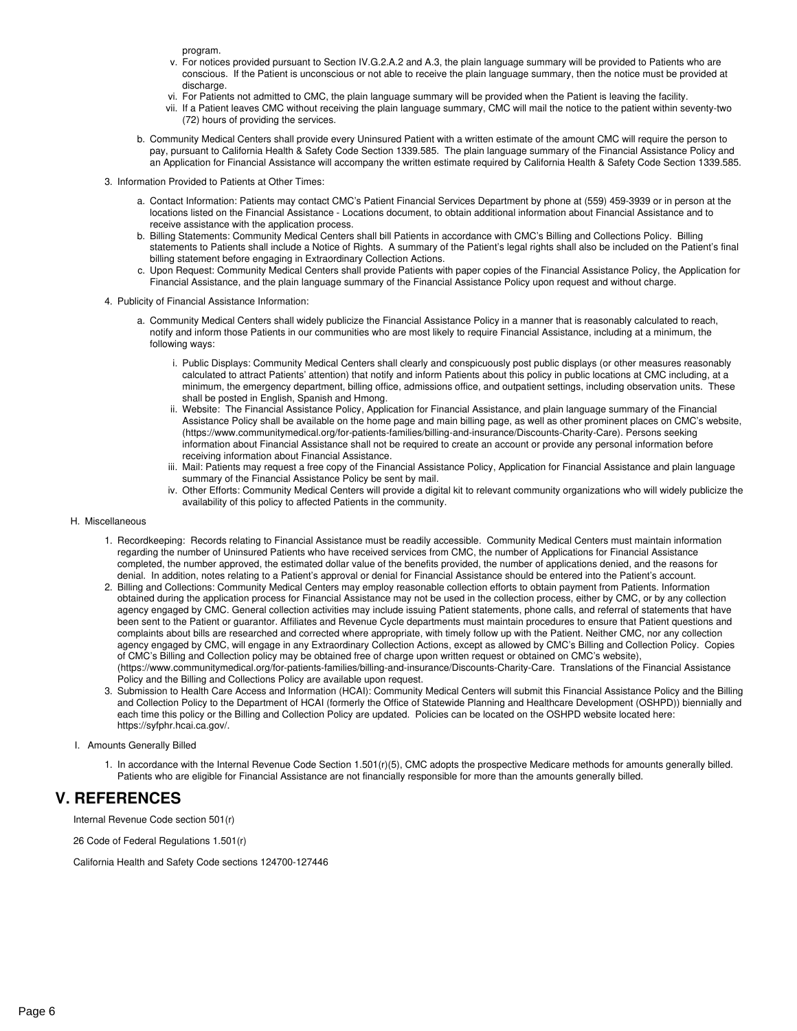program.

- v. For notices provided pursuant to Section IV.G.2.A.2 and A.3, the plain language summary will be provided to Patients who are conscious. If the Patient is unconscious or not able to receive the plain language summary, then the notice must be provided at discharge.
- vi. For Patients not admitted to CMC, the plain language summary will be provided when the Patient is leaving the facility.
- vii. If a Patient leaves CMC without receiving the plain language summary, CMC will mail the notice to the patient within seventy-two (72) hours of providing the services.
- b. Community Medical Centers shall provide every Uninsured Patient with a written estimate of the amount CMC willrequire the person to pay, pursuant to California Health & Safety Code Section 1339.585. The plain language summary of the Financial Assistance Policy and an Application for Financial Assistance will accompany the written estimate required by California Health & Safety Code Section 1339.585.
- 3. Information Provided to Patients at Other Times:
	- a. Contact Information: Patients may contact CMC's Patient Financial Services Department by phone at (559) 459-3939 or in person at the locations listed on the Financial Assistance -Locations document, to obtain additional information about Financial Assistance and to receive assistance with the application process.
	- b. Billing Statements: Community Medical Centers shall bill Patients in accordance with CMC's Billing and Collections Policy. Billing statements to Patients shall include a Notice of Rights. A summary of the Patient's legal rights shall also be included on the Patient's final billing statement before engaging in Extraordinary Collection Actions.
	- c. Upon Request: Community Medical Centers shall provide Patients with paper copies of the Financial Assistance Policy, the Application for Financial Assistance, and the plain language summary of the Financial Assistance Policy upon request and without charge.
- 4. Publicity of Financial Assistance Information:
	- a. Community Medical Centers shall widely publicize the Financial Assistance Policy in a manner that is reasonably calculated to reach, notify and inform those Patients in our communities who are most likely to require Financial Assistance, including at a minimum, the following ways:
		- i. Public Displays: Community Medical Centers shall clearly and conspicuously post public displays (or other measures reasonably calculated to attract Patients' attention) that notify and inform Patients about this policy in public locations at CMC including, at a minimum, the emergency department, billing office, admissions office, and outpatient settings, including observation units. These shall be posted in English, Spanish and Hmong.
		- ii. Website: The Financial Assistance Policy, Application for Financial Assistance, and plain language summary of the Financial Assistance Policy shall be available on the home page and main billing page, as well as other prominent places on CMC's website, (https://www.communitymedical.org/for-patients-families/billing-and-insurance/Discounts-Charity-Care). Persons seeking information about Financial Assistance shall not be required to create an account or provide any personal information before receiving information about Financial Assistance.
		- iii. Mail: Patients may request a free copy of the Financial Assistance Policy, Application for Financial Assistance and plain language summary of the Financial Assistance Policy be sent by mail.
		- iv. Other Efforts: Community Medical Centers will provide a digital kit to relevant community organizations who will widely publicize the availability of this policy to affected Patients in the community.
- H. Miscellaneous
	- 1. Recordkeeping: Records relating to Financial Assistance must be readily accessible. Community Medical Centers must maintain information regarding the number of Uninsured Patients who have received services from CMC, the number of Applications for Financial Assistance completed, the number approved, the estimated dollar value of the benefits provided, the number of applications denied, and the reasons for denial. In addition, notes relating to a Patient's approval or denial for Financial Assistance should be entered into the Patient's account.
	- 2. Billing and Collections: Community Medical Centers may employ reasonable collection efforts to obtain payment from Patients. Information obtained during the application process for Financial Assistance may not be used in the collection process, either by CMC, or by any collection agency engaged by CMC. General collection activities may include issuing Patient statements, phone calls, and referral of statements that have been sent to the Patient or guarantor. Affiliates and Revenue Cycle departments must maintain procedures to ensure that Patient questions and complaints about bills are researched and corrected where appropriate, with timely follow up with the Patient. Neither CMC, nor any collection agency engaged by CMC, will engage in any Extraordinary Collection Actions, except as allowed by CMC's Billing and Collection Policy. Copies of CMC's Billing and Collection policy may be obtained free of charge upon written request or obtained on CMC's website), (https://www.communitymedical.org/for-patients-families/billing-and-insurance/Discounts-Charity-Care. Translations of the Financial Assistance Policy and the Billing and Collections Policy are available upon request.
	- 3. Submission to Health Care Access and Information (HCAI): Community Medical Centers will submit this Financial Assistance Policy and the Billing and Collection Policy to the Department of HCAI (formerly the Office of Statewide Planning and Healthcare Development (OSHPD)) biennially and each time this policy or the Billing and Collection Policy are updated. Policies can be located on the OSHPD website located here: https://syfphr.hcai.ca.gov/.
- I. Amounts Generally Billed
	- 1. In accordance with the Internal Revenue Code Section 1.501(r)(5), CMC adopts the prospective Medicare methods for amounts generally billed. Patients who are eligible for Financial Assistance are not financially responsible for more than the amounts generally billed.

# **V. REFERENCES**

Internal Revenue Code section 501(r)

26 Code of Federal Regulations 1.501(r)

California Health and Safety Code sections 124700-127446